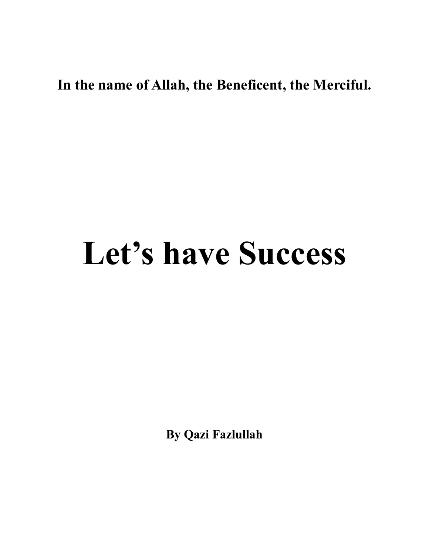# **In the name of Allah, the Beneficent, the Merciful.**

# **Let's have Success**

**By Qazi Fazlullah**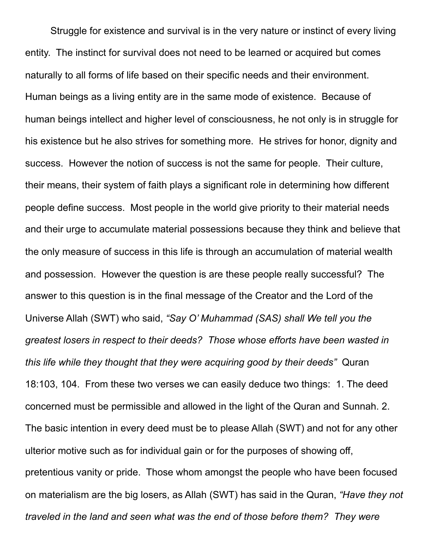Struggle for existence and survival is in the very nature or instinct of every living entity. The instinct for survival does not need to be learned or acquired but comes naturally to all forms of life based on their specific needs and their environment. Human beings as a living entity are in the same mode of existence. Because of human beings intellect and higher level of consciousness, he not only is in struggle for his existence but he also strives for something more. He strives for honor, dignity and success. However the notion of success is not the same for people. Their culture, their means, their system of faith plays a significant role in determining how different people define success. Most people in the world give priority to their material needs and their urge to accumulate material possessions because they think and believe that the only measure of success in this life is through an accumulation of material wealth and possession. However the question is are these people really successful? The answer to this question is in the final message of the Creator and the Lord of the Universe Allah (SWT) who said, *"Say O' Muhammad (SAS) shall We tell you the greatest losers in respect to their deeds? Those whose efforts have been wasted in this life while they thought that they were acquiring good by their deeds"* Quran 18:103, 104. From these two verses we can easily deduce two things: 1. The deed concerned must be permissible and allowed in the light of the Quran and Sunnah. 2. The basic intention in every deed must be to please Allah (SWT) and not for any other ulterior motive such as for individual gain or for the purposes of showing off, pretentious vanity or pride. Those whom amongst the people who have been focused on materialism are the big losers, as Allah (SWT) has said in the Quran, *"Have they not traveled in the land and seen what was the end of those before them? They were*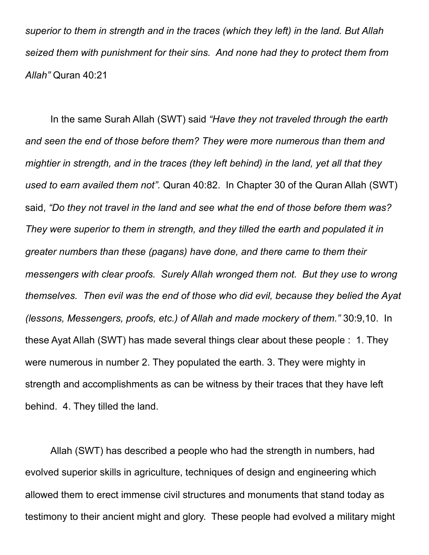*superior to them in strength and in the traces (which they left) in the land. But Allah seized them with punishment for their sins. And none had they to protect them from Allah"* Quran 40:21

In the same Surah Allah (SWT) said *"Have they not traveled through the earth and seen the end of those before them? They were more numerous than them and mightier in strength, and in the traces (they left behind) in the land, yet all that they used to earn availed them not".* Quran 40:82. In Chapter 30 of the Quran Allah (SWT) said, *"Do they not travel in the land and see what the end of those before them was? They were superior to them in strength, and they tilled the earth and populated it in greater numbers than these (pagans) have done, and there came to them their messengers with clear proofs. Surely Allah wronged them not. But they use to wrong themselves. Then evil was the end of those who did evil, because they belied the Ayat (lessons, Messengers, proofs, etc.) of Allah and made mockery of them."* 30:9,10. In these Ayat Allah (SWT) has made several things clear about these people : 1. They were numerous in number 2. They populated the earth. 3. They were mighty in strength and accomplishments as can be witness by their traces that they have left behind. 4. They tilled the land.

Allah (SWT) has described a people who had the strength in numbers, had evolved superior skills in agriculture, techniques of design and engineering which allowed them to erect immense civil structures and monuments that stand today as testimony to their ancient might and glory. These people had evolved a military might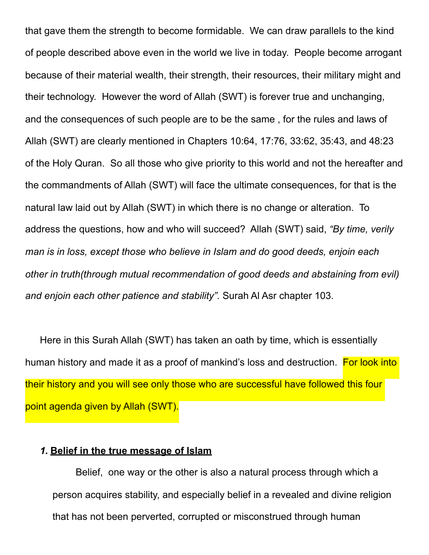that gave them the strength to become formidable. We can draw parallels to the kind of people described above even in the world we live in today. People become arrogant because of their material wealth, their strength, their resources, their military might and their technology. However the word of Allah (SWT) is forever true and unchanging, and the consequences of such people are to be the same , for the rules and laws of Allah (SWT) are clearly mentioned in Chapters 10:64, 17:76, 33:62, 35:43, and 48:23 of the Holy Quran. So all those who give priority to this world and not the hereafter and the commandments of Allah (SWT) will face the ultimate consequences, for that is the natural law laid out by Allah (SWT) in which there is no change or alteration. To address the questions, how and who will succeed? Allah (SWT) said, *"By time, verily man is in loss, except those who believe in Islam and do good deeds, enjoin each other in truth(through mutual recommendation of good deeds and abstaining from evil) and enjoin each other patience and stability".* Surah Al Asr chapter 103.

Here in this Surah Allah (SWT) has taken an oath by time, which is essentially human history and made it as a proof of mankind's loss and destruction. For look into their history and you will see only those who are successful have followed this four point agenda given by Allah (SWT).

#### *1.* **Belief in the true message of Islam**

Belief, one way or the other is also a natural process through which a person acquires stability, and especially belief in a revealed and divine religion that has not been perverted, corrupted or misconstrued through human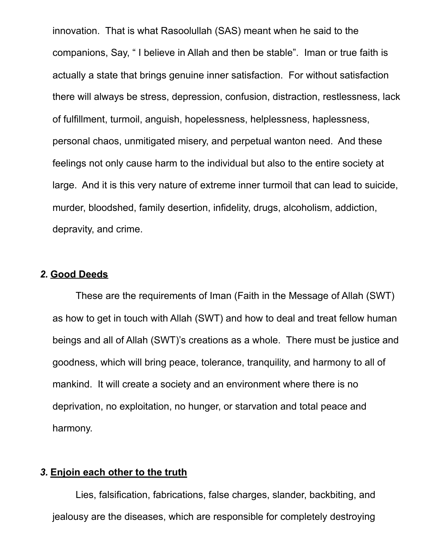innovation. That is what Rasoolullah (SAS) meant when he said to the companions, Say, " I believe in Allah and then be stable". Iman or true faith is actually a state that brings genuine inner satisfaction. For without satisfaction there will always be stress, depression, confusion, distraction, restlessness, lack of fulfillment, turmoil, anguish, hopelessness, helplessness, haplessness, personal chaos, unmitigated misery, and perpetual wanton need. And these feelings not only cause harm to the individual but also to the entire society at large. And it is this very nature of extreme inner turmoil that can lead to suicide, murder, bloodshed, family desertion, infidelity, drugs, alcoholism, addiction, depravity, and crime.

#### *2.* **Good Deeds**

These are the requirements of Iman (Faith in the Message of Allah (SWT) as how to get in touch with Allah (SWT) and how to deal and treat fellow human beings and all of Allah (SWT)'s creations as a whole. There must be justice and goodness, which will bring peace, tolerance, tranquility, and harmony to all of mankind. It will create a society and an environment where there is no deprivation, no exploitation, no hunger, or starvation and total peace and harmony.

### *3.* **Enjoin each other to the truth**

Lies, falsification, fabrications, false charges, slander, backbiting, and jealousy are the diseases, which are responsible for completely destroying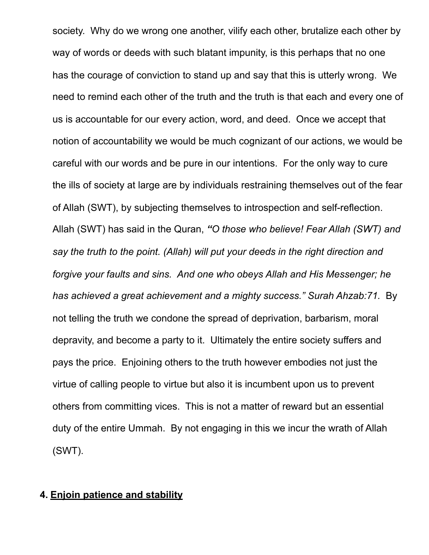society. Why do we wrong one another, vilify each other, brutalize each other by way of words or deeds with such blatant impunity, is this perhaps that no one has the courage of conviction to stand up and say that this is utterly wrong. We need to remind each other of the truth and the truth is that each and every one of us is accountable for our every action, word, and deed. Once we accept that notion of accountability we would be much cognizant of our actions, we would be careful with our words and be pure in our intentions. For the only way to cure the ills of society at large are by individuals restraining themselves out of the fear of Allah (SWT), by subjecting themselves to introspection and self-reflection. Allah (SWT) has said in the Quran, *"O those who believe! Fear Allah (SWT) and say the truth to the point. (Allah) will put your deeds in the right direction and forgive your faults and sins. And one who obeys Allah and His Messenger; he has achieved a great achievement and a mighty success." Surah Ahzab:71.* By not telling the truth we condone the spread of deprivation, barbarism, moral depravity, and become a party to it. Ultimately the entire society suffers and pays the price. Enjoining others to the truth however embodies not just the virtue of calling people to virtue but also it is incumbent upon us to prevent others from committing vices. This is not a matter of reward but an essential duty of the entire Ummah. By not engaging in this we incur the wrath of Allah (SWT).

## **4. Enjoin patience and stability**